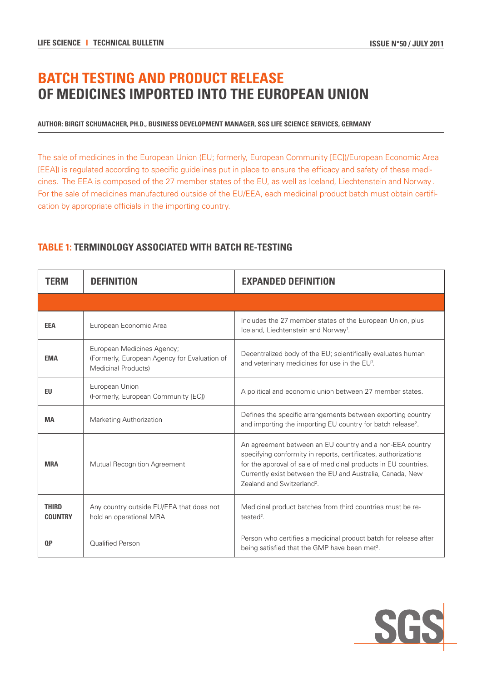# **BATCH TESTING AND PRODUCT RELEASE OF MEDICINES IMPORTED INTO THE EUROPEAN UNION**

#### **AUTHOR: BIRGIT SCHUMACHER, PH.D., BUSINESS DEVELOPMENT MANAGER, SGS LIFE SCIENCE SERVICES, GERMANY**

The sale of medicines in the European Union (EU; formerly, European Community [EC])/European Economic Area [EEA]) is regulated according to specific guidelines put in place to ensure the efficacy and safety of these medicines. The EEA is composed of the 27 member states of the EU, as well as Iceland, Liechtenstein and Norway . For the sale of medicines manufactured outside of the EU/EEA, each medicinal product batch must obtain certification by appropriate officials in the importing country.

| <b>TERM</b>                    | <b>DEFINITION</b>                                                                                 | <b>EXPANDED DEFINITION</b>                                                                                                                                                                                                                                                                           |
|--------------------------------|---------------------------------------------------------------------------------------------------|------------------------------------------------------------------------------------------------------------------------------------------------------------------------------------------------------------------------------------------------------------------------------------------------------|
|                                |                                                                                                   |                                                                                                                                                                                                                                                                                                      |
| <b>EEA</b>                     | European Economic Area                                                                            | Includes the 27 member states of the European Union, plus<br>Iceland, Liechtenstein and Norway <sup>1</sup> .                                                                                                                                                                                        |
| <b>EMA</b>                     | European Medicines Agency;<br>(Formerly, European Agency for Evaluation of<br>Medicinal Products) | Decentralized body of the EU; scientifically evaluates human<br>and veterinary medicines for use in the EU <sup>7</sup> .                                                                                                                                                                            |
| EU.                            | European Union<br>(Formerly, European Community [EC])                                             | A political and economic union between 27 member states.                                                                                                                                                                                                                                             |
| <b>MA</b>                      | <b>Marketing Authorization</b>                                                                    | Defines the specific arrangements between exporting country<br>and importing the importing EU country for batch release <sup>2</sup> .                                                                                                                                                               |
| <b>MRA</b>                     | Mutual Recognition Agreement                                                                      | An agreement between an EU country and a non-EEA country<br>specifying conformity in reports, certificates, authorizations<br>for the approval of sale of medicinal products in EU countries.<br>Currently exist between the EU and Australia, Canada, New<br>Zealand and Switzerland <sup>2</sup> . |
| <b>THIRD</b><br><b>COUNTRY</b> | Any country outside EU/EEA that does not<br>hold an operational MRA                               | Medicinal product batches from third countries must be re-<br>$tested2$ .                                                                                                                                                                                                                            |
| 0P                             | Qualified Person                                                                                  | Person who certifies a medicinal product batch for release after<br>being satisfied that the GMP have been met <sup>2</sup> .                                                                                                                                                                        |

# **TABLE 1: TERMINOLOGY ASSOCIATED WITH BATCH RE-TESTING**

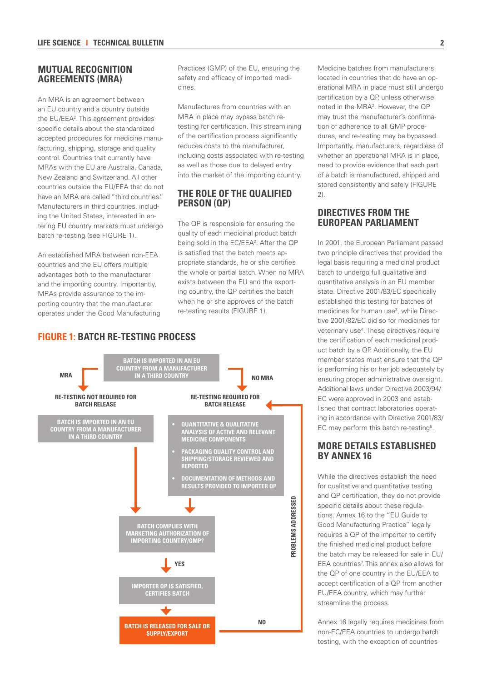#### **MUTUAL RECOGNITION AGREEMENTS (MRA)**

An MRA is an agreement between an EU country and a country outside the EU/EEA<sup>2</sup>. This agreement provides specific details about the standardized accepted procedures for medicine manufacturing, shipping, storage and quality control. Countries that currently have MRAs with the EU are Australia, Canada, New Zealand and Switzerland. All other countries outside the EU/EEA that do not have an MRA are called "third countries." Manufacturers in third countries, including the United States, interested in entering EU country markets must undergo batch re-testing (see FIGURE 1).

An established MRA between non-EEA countries and the EU offers multiple advantages both to the manufacturer and the importing country. Importantly, MRAs provide assurance to the importing country that the manufacturer operates under the Good Manufacturing

Practices (GMP) of the EU, ensuring the safety and efficacy of imported medicines.

Manufactures from countries with an MRA in place may bypass batch retesting for certification. This streamlining of the certification process significantly reduces costs to the manufacturer, including costs associated with re-testing as well as those due to delayed entry into the market of the importing country.

### **THE ROLE OF THE QUALIFIED PERSON (QP)**

The QP is responsible for ensuring the quality of each medicinal product batch being sold in the EC/EEA<sup>2</sup>. After the QP is satisfied that the batch meets appropriate standards, he or she certifies the whole or partial batch. When no MRA exists between the EU and the exporting country, the QP certifies the batch when he or she approves of the batch re-testing results (FIGURE 1).

Medicine batches from manufacturers located in countries that do have an operational MRA in place must still undergo certification by a QP, unless otherwise noted in the MRA2 . However, the QP may trust the manufacturer's confirmation of adherence to all GMP procedures, and re-testing may be bypassed. Importantly, manufacturers, regardless of whether an operational MRA is in place, need to provide evidence that each part of a batch is manufactured, shipped and stored consistently and safely (FIGURE  $2)$ 

### **DIRECTIVES FROM THE EUROPEAN PARLIAMENT**

In 2001, the European Parliament passed two principle directives that provided the legal basis requiring a medicinal product batch to undergo full qualitative and quantitative analysis in an EU member state. Directive 2001/83/EC specifically established this testing for batches of medicines for human use<sup>3</sup>, while Directive 2001/82/EC did so for medicines for veterinary use<sup>4</sup>. These directives require the certification of each medicinal product batch by a QP. Additionally, the EU member states must ensure that the QP is performing his or her job adequately by ensuring proper administrative oversight. Additional laws under Directive 2003/94/ EC were approved in 2003 and established that contract laboratories operating in accordance with Directive 2001/83/ EC may perform this batch re-testing<sup>5</sup>.

#### **MORE DETAILS ESTABLISHED BY ANNEX 16**

While the directives establish the need for qualitative and quantitative testing and QP certification, they do not provide specific details about these regulations. Annex 16 to the "EU Guide to Good Manufacturing Practice" legally requires a QP of the importer to certify the finished medicinal product before the batch may be released for sale in EU/ EEA countries<sup>7</sup>. This annex also allows for the QP of one country in the EU/EEA to accept certification of a QP from another EU/EEA country, which may further streamline the process.

Annex 16 legally requires medicines from non-EC/EEA countries to undergo batch testing, with the exception of countries

# **FIGURE 1: BATCH RE-TESTING PROCESS**

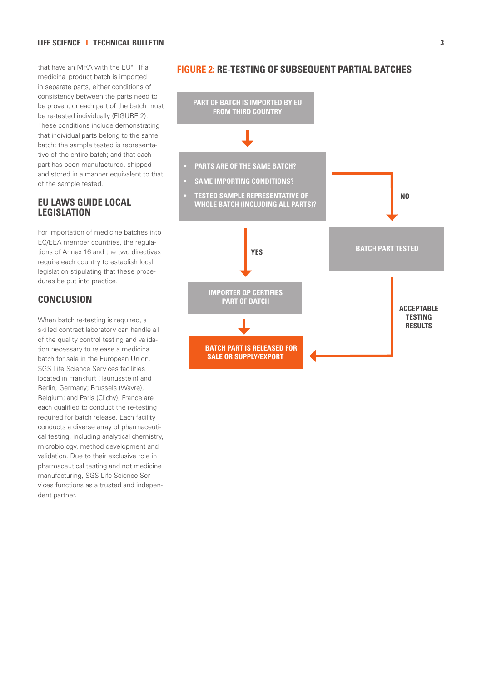that have an MRA with the EU<sup>6</sup>. If a medicinal product batch is imported in separate parts, either conditions of consistency between the parts need to be proven, or each part of the batch must be re-tested individually (FIGURE 2). These conditions include demonstrating that individual parts belong to the same batch; the sample tested is representative of the entire batch; and that each part has been manufactured, shipped and stored in a manner equivalent to that of the sample tested.

#### **EU LAWS GUIDE LOCAL LEGISLATION**

For importation of medicine batches into EC/EEA member countries, the regulations of Annex 16 and the two directives require each country to establish local legislation stipulating that these procedures be put into practice.

# **CONCLUSION**

When batch re-testing is required, a skilled contract laboratory can handle all of the quality control testing and validation necessary to release a medicinal batch for sale in the European Union. SGS Life Science Services facilities located in Frankfurt (Taunusstein) and Berlin, Germany; Brussels (Wavre), Belgium; and Paris (Clichy), France are each qualified to conduct the re-testing required for batch release. Each facility conducts a diverse array of pharmaceutical testing, including analytical chemistry, microbiology, method development and validation. Due to their exclusive role in pharmaceutical testing and not medicine manufacturing, SGS Life Science Services functions as a trusted and independent partner.



#### **FIGURE 2: RE-TESTING OF SUBSEQUENT PARTIAL BATCHES**